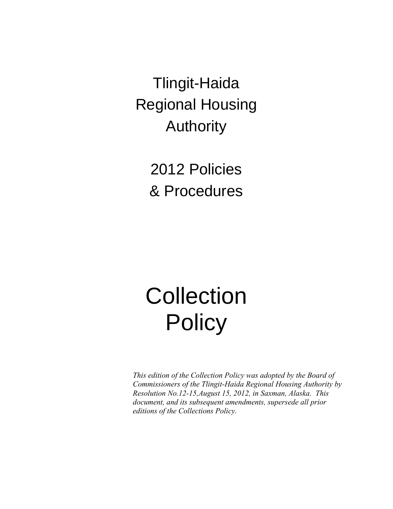Tlingit-Haida Regional Housing Authority

> 2012 Policies & Procedures

# **Collection Policy**

*This edition of the Collection Policy was adopted by the Board of Commissioners of the Tlingit-Haida Regional Housing Authority by Resolution No.12-15,August 15, 2012, in Saxman, Alaska. This document, and its subsequent amendments, supersede all prior editions of the Collections Policy.*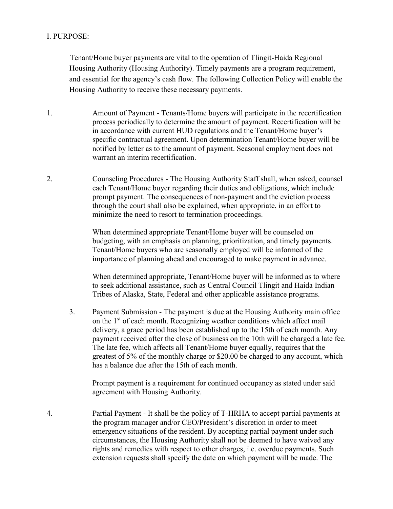#### I. PURPOSE:

Tenant/Home buyer payments are vital to the operation of Tlingit-Haida Regional Housing Authority (Housing Authority). Timely payments are a program requirement, and essential for the agency's cash flow. The following Collection Policy will enable the Housing Authority to receive these necessary payments.

- 1. Amount of Payment Tenants/Home buyers will participate in the recertification process periodically to determine the amount of payment. Recertification will be in accordance with current HUD regulations and the Tenant/Home buyer's specific contractual agreement. Upon determination Tenant/Home buyer will be notified by letter as to the amount of payment. Seasonal employment does not warrant an interim recertification.
- 2. Counseling Procedures The Housing Authority Staff shall, when asked, counsel each Tenant/Home buyer regarding their duties and obligations, which include prompt payment. The consequences of non-payment and the eviction process through the court shall also be explained, when appropriate, in an effort to minimize the need to resort to termination proceedings.

When determined appropriate Tenant/Home buyer will be counseled on budgeting, with an emphasis on planning, prioritization, and timely payments. Tenant/Home buyers who are seasonally employed will be informed of the importance of planning ahead and encouraged to make payment in advance.

When determined appropriate, Tenant/Home buyer will be informed as to where to seek additional assistance, such as Central Council Tlingit and Haida Indian Tribes of Alaska, State, Federal and other applicable assistance programs.

3. Payment Submission - The payment is due at the Housing Authority main office on the 1<sup>st</sup> of each month. Recognizing weather conditions which affect mail delivery, a grace period has been established up to the 15th of each month. Any payment received after the close of business on the 10th will be charged a late fee. The late fee, which affects all Tenant/Home buyer equally, requires that the greatest of 5% of the monthly charge or \$20.00 be charged to any account, which has a balance due after the 15th of each month.

Prompt payment is a requirement for continued occupancy as stated under said agreement with Housing Authority.

4. Partial Payment - It shall be the policy of T-HRHA to accept partial payments at the program manager and/or CEO/President's discretion in order to meet emergency situations of the resident. By accepting partial payment under such circumstances, the Housing Authority shall not be deemed to have waived any rights and remedies with respect to other charges, i.e. overdue payments. Such extension requests shall specify the date on which payment will be made. The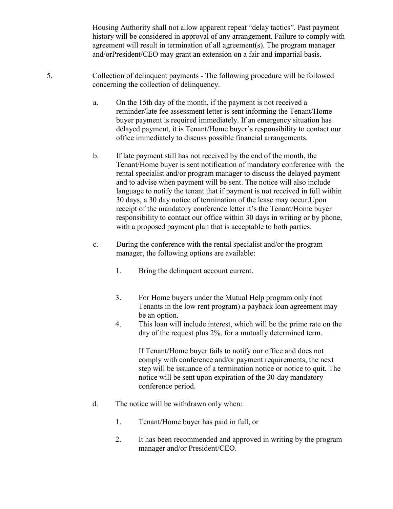Housing Authority shall not allow apparent repeat "delay tactics". Past payment history will be considered in approval of any arrangement. Failure to comply with agreement will result in termination of all agreement(s). The program manager and/orPresident/CEO may grant an extension on a fair and impartial basis.

- 5. Collection of delinquent payments The following procedure will be followed concerning the collection of delinquency.
	- a. On the 15th day of the month, if the payment is not received a reminder/late fee assessment letter is sent informing the Tenant/Home buyer payment is required immediately. If an emergency situation has delayed payment, it is Tenant/Home buyer's responsibility to contact our office immediately to discuss possible financial arrangements.
	- b. If late payment still has not received by the end of the month, the Tenant/Home buyer is sent notification of mandatory conference with the rental specialist and/or program manager to discuss the delayed payment and to advise when payment will be sent. The notice will also include language to notify the tenant that if payment is not received in full within 30 days, a 30 day notice of termination of the lease may occur.Upon receipt of the mandatory conference letter it's the Tenant/Home buyer responsibility to contact our office within 30 days in writing or by phone, with a proposed payment plan that is acceptable to both parties.
	- c. During the conference with the rental specialist and/or the program manager, the following options are available:
		- 1. Bring the delinquent account current.
		- 3. For Home buyers under the Mutual Help program only (not Tenants in the low rent program) a payback loan agreement may be an option.
		- 4. This loan will include interest, which will be the prime rate on the day of the request plus 2%, for a mutually determined term.

If Tenant/Home buyer fails to notify our office and does not comply with conference and/or payment requirements, the next step will be issuance of a termination notice or notice to quit. The notice will be sent upon expiration of the 30-day mandatory conference period.

- d. The notice will be withdrawn only when:
	- 1. Tenant/Home buyer has paid in full, or
	- 2. It has been recommended and approved in writing by the program manager and/or President/CEO.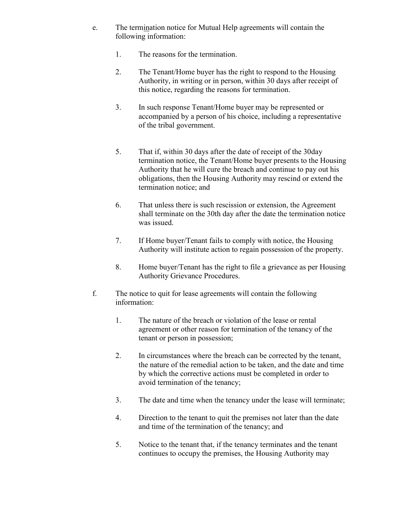- e. The termination notice for Mutual Help agreements will contain the following information:
	- 1. The reasons for the termination.
	- 2. The Tenant/Home buyer has the right to respond to the Housing Authority, in writing or in person, within 30 days after receipt of this notice, regarding the reasons for termination.
	- 3. In such response Tenant/Home buyer may be represented or accompanied by a person of his choice, including a representative of the tribal government.
	- 5. That if, within 30 days after the date of receipt of the 30day termination notice, the Tenant/Home buyer presents to the Housing Authority that he will cure the breach and continue to pay out his obligations, then the Housing Authority may rescind or extend the termination notice; and
	- 6. That unless there is such rescission or extension, the Agreement shall terminate on the 30th day after the date the termination notice was issued.
	- 7. If Home buyer/Tenant fails to comply with notice, the Housing Authority will institute action to regain possession of the property.
	- 8. Home buyer/Tenant has the right to file a grievance as per Housing Authority Grievance Procedures.
- f. The notice to quit for lease agreements will contain the following information:
	- 1. The nature of the breach or violation of the lease or rental agreement or other reason for termination of the tenancy of the tenant or person in possession;
	- 2. In circumstances where the breach can be corrected by the tenant, the nature of the remedial action to be taken, and the date and time by which the corrective actions must be completed in order to avoid termination of the tenancy;
	- 3. The date and time when the tenancy under the lease will terminate;
	- 4. Direction to the tenant to quit the premises not later than the date and time of the termination of the tenancy; and
	- 5. Notice to the tenant that, if the tenancy terminates and the tenant continues to occupy the premises, the Housing Authority may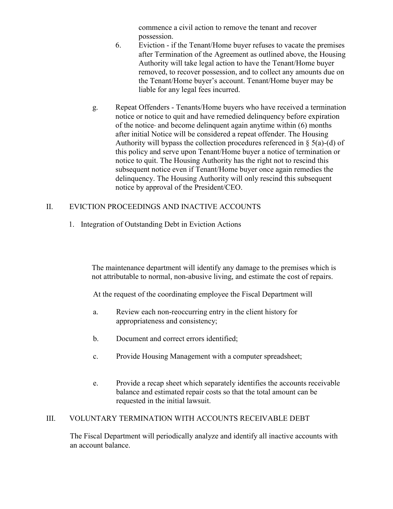commence a civil action to remove the tenant and recover possession.

- 6. Eviction if the Tenant/Home buyer refuses to vacate the premises after Termination of the Agreement as outlined above, the Housing Authority will take legal action to have the Tenant/Home buyer removed, to recover possession, and to collect any amounts due on the Tenant/Home buyer's account. Tenant/Home buyer may be liable for any legal fees incurred.
- g. Repeat Offenders Tenants/Home buyers who have received a termination notice or notice to quit and have remedied delinquency before expiration of the notice and become delinquent again anytime within (6) months after initial Notice will be considered a repeat offender. The Housing Authority will bypass the collection procedures referenced in  $\S$  5(a)-(d) of this policy and serve upon Tenant/Home buyer a notice of termination or notice to quit. The Housing Authority has the right not to rescind this subsequent notice even if Tenant/Home buyer once again remedies the delinquency. The Housing Authority will only rescind this subsequent notice by approval of the President/CEO.

#### II. EVICTION PROCEEDINGS AND INACTIVE ACCOUNTS

1. Integration of Outstanding Debt in Eviction Actions

The maintenance department will identify any damage to the premises which is not attributable to normal, non-abusive living, and estimate the cost of repairs.

At the request of the coordinating employee the Fiscal Department will

- a. Review each non-reoccurring entry in the client history for appropriateness and consistency;
- b. Document and correct errors identified;
- c. Provide Housing Management with a computer spreadsheet;
- e. Provide a recap sheet which separately identifies the accounts receivable balance and estimated repair costs so that the total amount can be requested in the initial lawsuit.

#### III. VOLUNTARY TERMINATION WITH ACCOUNTS RECEIVABLE DEBT

The Fiscal Department will periodically analyze and identify all inactive accounts with an account balance.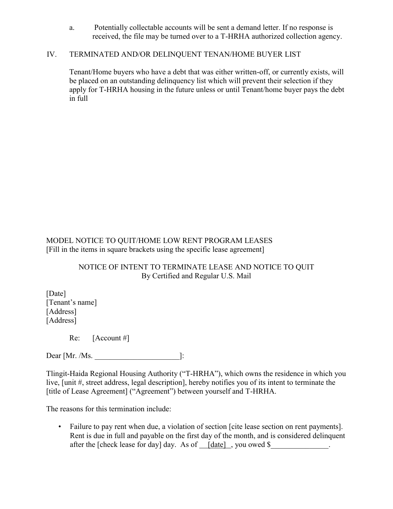a. Potentially collectable accounts will be sent a demand letter. If no response is received, the file may be turned over to a T-HRHA authorized collection agency.

#### IV. TERMINATED AND/OR DELINQUENT TENAN/HOME BUYER LIST

Tenant/Home buyers who have a debt that was either written-off, or currently exists, will be placed on an outstanding delinquency list which will prevent their selection if they apply for T-HRHA housing in the future unless or until Tenant/home buyer pays the debt in full

MODEL NOTICE TO QUIT/HOME LOW RENT PROGRAM LEASES [Fill in the items in square brackets using the specific lease agreement]

#### NOTICE OF INTENT TO TERMINATE LEASE AND NOTICE TO QUIT By Certified and Regular U.S. Mail

[Date] [Tenant's name] [Address] [Address]

Re: [Account #]

Dear [Mr. /Ms. 2010]:

Tlingit-Haida Regional Housing Authority ("T-HRHA"), which owns the residence in which you live, [unit #, street address, legal description], hereby notifies you of its intent to terminate the [title of Lease Agreement] ("Agreement") between yourself and T-HRHA.

The reasons for this termination include:

• Failure to pay rent when due, a violation of section [cite lease section on rent payments]. Rent is due in full and payable on the first day of the month, and is considered delinquent after the [check lease for day] day. As of  $[date]$ , you owed \$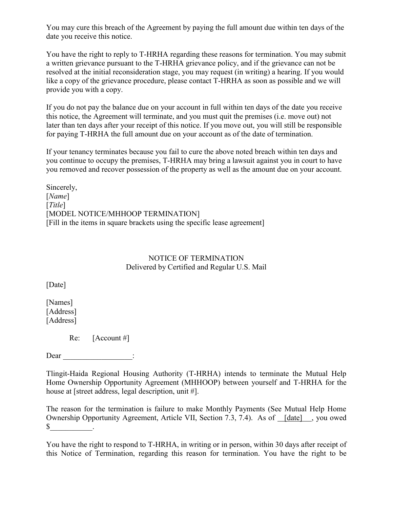You may cure this breach of the Agreement by paying the full amount due within ten days of the date you receive this notice.

You have the right to reply to T-HRHA regarding these reasons for termination. You may submit a written grievance pursuant to the T-HRHA grievance policy, and if the grievance can not be resolved at the initial reconsideration stage, you may request (in writing) a hearing. If you would like a copy of the grievance procedure, please contact T-HRHA as soon as possible and we will provide you with a copy.

If you do not pay the balance due on your account in full within ten days of the date you receive this notice, the Agreement will terminate, and you must quit the premises (i.e. move out) not later than ten days after your receipt of this notice. If you move out, you will still be responsible for paying T-HRHA the full amount due on your account as of the date of termination.

If your tenancy terminates because you fail to cure the above noted breach within ten days and you continue to occupy the premises, T-HRHA may bring a lawsuit against you in court to have you removed and recover possession of the property as well as the amount due on your account.

Sincerely, [*Name*] [*Title*] [MODEL NOTICE/MHHOOP TERMINATION] [Fill in the items in square brackets using the specific lease agreement]

#### NOTICE OF TERMINATION Delivered by Certified and Regular U.S. Mail

[Date]

[Names] [Address] [Address]

Re: [Account #]

Dear  $\Box$ 

Tlingit-Haida Regional Housing Authority (T-HRHA) intends to terminate the Mutual Help Home Ownership Opportunity Agreement (MHHOOP) between yourself and T-HRHA for the house at [street address, legal description, unit #].

The reason for the termination is failure to make Monthly Payments (See Mutual Help Home Ownership Opportunity Agreement, Article VII, Section 7.3, 7.4). As of [date] , you owed  $\mathbb{S}$  .

You have the right to respond to T-HRHA, in writing or in person, within 30 days after receipt of this Notice of Termination, regarding this reason for termination. You have the right to be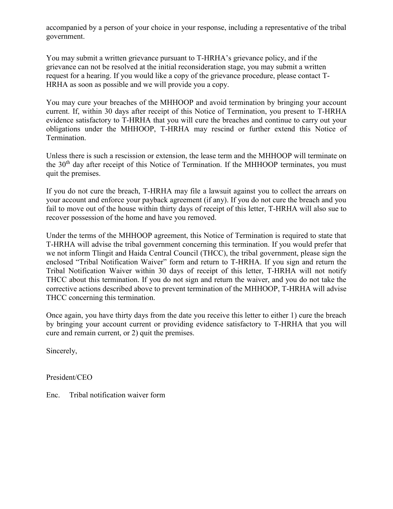accompanied by a person of your choice in your response, including a representative of the tribal government.

You may submit a written grievance pursuant to T-HRHA's grievance policy, and if the grievance can not be resolved at the initial reconsideration stage, you may submit a written request for a hearing. If you would like a copy of the grievance procedure, please contact T-HRHA as soon as possible and we will provide you a copy.

You may cure your breaches of the MHHOOP and avoid termination by bringing your account current. If, within 30 days after receipt of this Notice of Termination, you present to T-HRHA evidence satisfactory to T-HRHA that you will cure the breaches and continue to carry out your obligations under the MHHOOP, T-HRHA may rescind or further extend this Notice of Termination.

Unless there is such a rescission or extension, the lease term and the MHHOOP will terminate on the 30<sup>th</sup> day after receipt of this Notice of Termination. If the MHHOOP terminates, you must quit the premises.

If you do not cure the breach, T-HRHA may file a lawsuit against you to collect the arrears on your account and enforce your payback agreement (if any). If you do not cure the breach and you fail to move out of the house within thirty days of receipt of this letter, T-HRHA will also sue to recover possession of the home and have you removed.

Under the terms of the MHHOOP agreement, this Notice of Termination is required to state that T-HRHA will advise the tribal government concerning this termination. If you would prefer that we not inform Tlingit and Haida Central Council (THCC), the tribal government, please sign the enclosed "Tribal Notification Waiver" form and return to T-HRHA. If you sign and return the Tribal Notification Waiver within 30 days of receipt of this letter, T-HRHA will not notify THCC about this termination. If you do not sign and return the waiver, and you do not take the corrective actions described above to prevent termination of the MHHOOP, T-HRHA will advise THCC concerning this termination.

Once again, you have thirty days from the date you receive this letter to either 1) cure the breach by bringing your account current or providing evidence satisfactory to T-HRHA that you will cure and remain current, or 2) quit the premises.

Sincerely,

President/CEO

Enc. Tribal notification waiver form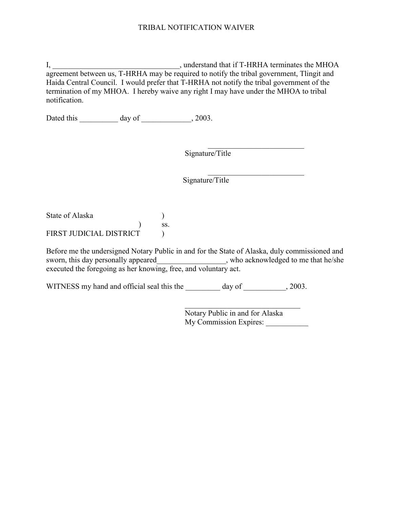#### TRIBAL NOTIFICATION WAIVER

I, \_\_\_\_\_\_\_\_\_\_\_\_\_\_\_\_\_\_\_\_\_\_\_\_\_\_\_\_\_\_\_\_\_, understand that if T-HRHA terminates the MHOA agreement between us, T-HRHA may be required to notify the tribal government, Tlingit and Haida Central Council. I would prefer that T-HRHA not notify the tribal government of the termination of my MHOA. I hereby waive any right I may have under the MHOA to tribal notification.

Dated this day of \_\_\_\_\_\_\_\_\_\_, 2003.

Signature/Title

Signature/Title

State of Alaska (1)  $)$  ss. FIRST JUDICIAL DISTRICT  $\qquad$ 

Before me the undersigned Notary Public in and for the State of Alaska, duly commissioned and sworn, this day personally appeared \_\_\_\_\_\_\_\_\_\_\_\_\_\_\_\_, who acknowledged to me that he/she executed the foregoing as her knowing, free, and voluntary act.

WITNESS my hand and official seal this the day of \_\_\_\_\_\_\_\_\_, 2003.

Notary Public in and for Alaska My Commission Expires:

 $\mathcal{L}_\text{max}$  , where  $\mathcal{L}_\text{max}$  and  $\mathcal{L}_\text{max}$  and  $\mathcal{L}_\text{max}$ 

 $\mathcal{L}_\text{max}$ 

 $\mathcal{L}_\text{max}$  , where  $\mathcal{L}_\text{max}$  , we have the set of  $\mathcal{L}_\text{max}$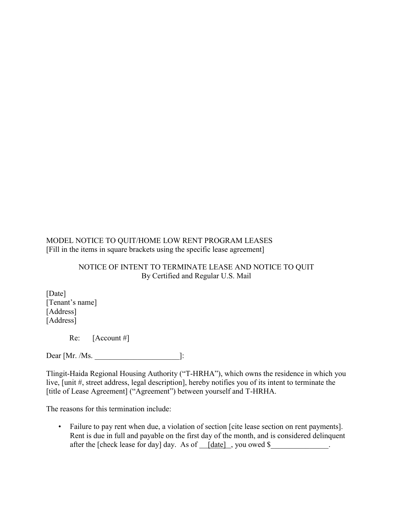MODEL NOTICE TO QUIT/HOME LOW RENT PROGRAM LEASES [Fill in the items in square brackets using the specific lease agreement]

#### NOTICE OF INTENT TO TERMINATE LEASE AND NOTICE TO QUIT By Certified and Regular U.S. Mail

[Date] [Tenant's name] [Address] [Address]

Re: [Account #]

Dear [Mr. /Ms. 2010]:

Tlingit-Haida Regional Housing Authority ("T-HRHA"), which owns the residence in which you live, [unit #, street address, legal description], hereby notifies you of its intent to terminate the [title of Lease Agreement] ("Agreement") between yourself and T-HRHA.

The reasons for this termination include:

• Failure to pay rent when due, a violation of section [cite lease section on rent payments]. Rent is due in full and payable on the first day of the month, and is considered delinquent after the [check lease for day] day. As of  $idate]$ , you owed \$\_\_\_\_\_\_\_\_\_\_\_\_\_\_.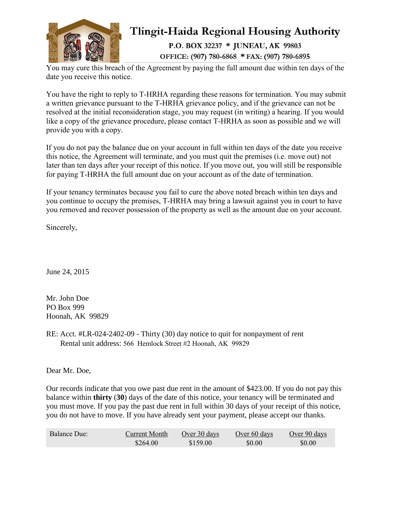

## Tlingit-Haida Regional Housing Authority

P.O. BOX 32237 \* JUNEAU, AK 99803 OFFICE: (907) 780-6868 \* FAX: (907) 780-6895

You may cure this breach of the Agreement by paying the full amount due within ten days of the date you receive this notice.

You have the right to reply to T-HRHA regarding these reasons for termination. You may submit a written grievance pursuant to the T-HRHA grievance policy, and if the grievance can not be resolved at the initial reconsideration stage, you may request (in writing) a hearing. If you would like a copy of the grievance procedure, please contact T-HRHA as soon as possible and we will provide you with a copy.

If you do not pay the balance due on your account in full within ten days of the date you receive this notice, the Agreement will terminate, and you must quit the premises (i.e. move out) not later than ten days after your receipt of this notice. If you move out, you will still be responsible for paying T-HRHA the full amount due on your account as of the date of termination.

If your tenancy terminates because you fail to cure the above noted breach within ten days and you continue to occupy the premises, T-HRHA may bring a lawsuit against you in court to have you removed and recover possession of the property as well as the amount due on your account.

Sincerely,

June 24, 2015

Mr. John Doe PO Box 999 Hoonah, AK 99829

RE: Acct. #LR-024-2402-09 - Thirty (30) day notice to quit for nonpayment of rent Rental unit address: 566 Hemlock Street #2 Hoonah, AK 99829

Dear Mr. Doe,

Our records indicate that you owe past due rent in the amount of \$423.00. If you do not pay this balance within **thirty** (**30**) days of the date of this notice, your tenancy will be terminated and you must move. If you pay the past due rent in full within 30 days of your receipt of this notice, you do not have to move. If you have already sent your payment, please accept our thanks.

| <b>Balance Due:</b> | Current Month | Over 30 days | Over 60 days | Over 90 days |
|---------------------|---------------|--------------|--------------|--------------|
|                     | \$264.00      | \$159.00     | \$0.00       | \$0.00       |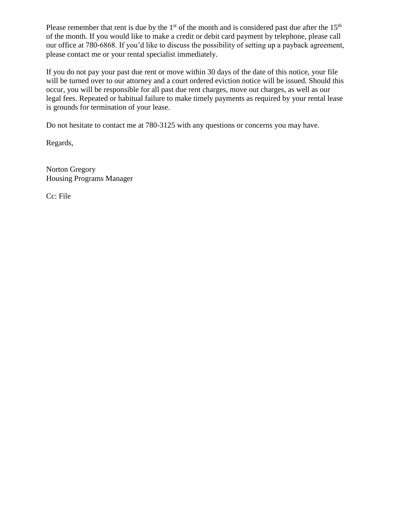Please remember that rent is due by the  $1<sup>st</sup>$  of the month and is considered past due after the  $15<sup>th</sup>$ of the month. If you would like to make a credit or debit card payment by telephone, please call our office at 780-6868. If you'd like to discuss the possibility of setting up a payback agreement, please contact me or your rental specialist immediately.

If you do not pay your past due rent or move within 30 days of the date of this notice, your file will be turned over to our attorney and a court ordered eviction notice will be issued. Should this occur, you will be responsible for all past due rent charges, move out charges, as well as our legal fees. Repeated or habitual failure to make timely payments as required by your rental lease is grounds for termination of your lease.

Do not hesitate to contact me at 780-3125 with any questions or concerns you may have.

Regards,

Norton Gregory Housing Programs Manager

Cc: File